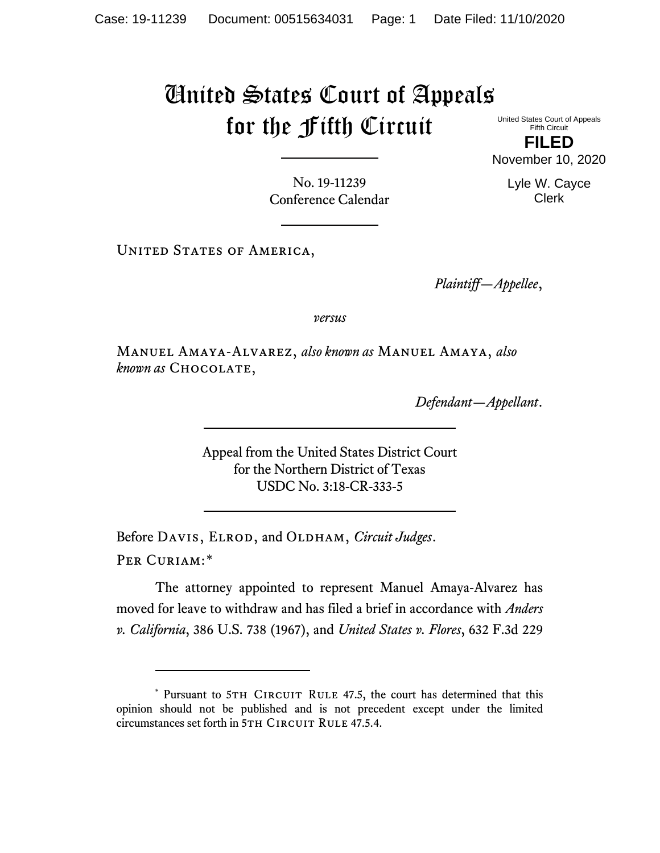## United States Court of Appeals for the Fifth Circuit

United States Court of Appeals Fifth Circuit

**FILED** November 10, 2020

No. 19-11239 Conference Calendar

UNITED STATES OF AMERICA,

*Plaintiff—Appellee*,

*versus*

Manuel Amaya-Alvarez, *also known as* Manuel Amaya, *also known as* Chocolate,

*Defendant—Appellant*.

Appeal from the United States District Court for the Northern District of Texas USDC No. 3:18-CR-333-5

Before DAVIS, ELROD, and OLDHAM, *Circuit Judges*. Per Curiam:[\\*](#page-0-0)

The attorney appointed to represent Manuel Amaya-Alvarez has moved for leave to withdraw and has filed a brief in accordance with *Anders v. California*, 386 U.S. 738 (1967), and *United States v. Flores*, 632 F.3d 229

Lyle W. Cayce Clerk

<span id="page-0-0"></span><sup>\*</sup> Pursuant to 5TH CIRCUIT RULE 47.5, the court has determined that this opinion should not be published and is not precedent except under the limited circumstances set forth in 5TH CIRCUIT RULE 47.5.4.